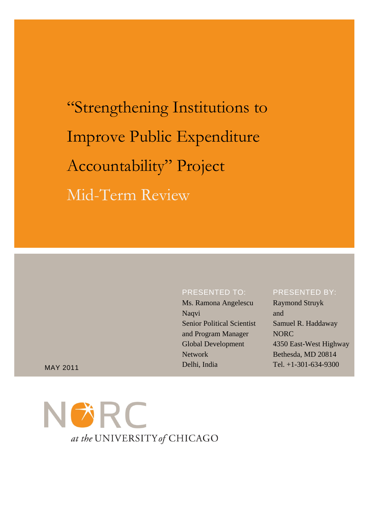"Strengthening Institutions to Improve Public Expenditure Accountability" Project Mid-Term Review

## PRESENTED TO:

Tel. +1-301-634-9300 MAY 2011 Ms. Ramona Angelescu Naqvi Senior Political Scientist and Program Manager Global Development Network Delhi, India

#### PRESENTED BY:

Raymond Struyk and Samuel R. Haddaway NORC 4350 East-West Highway Bethesda, MD 20814

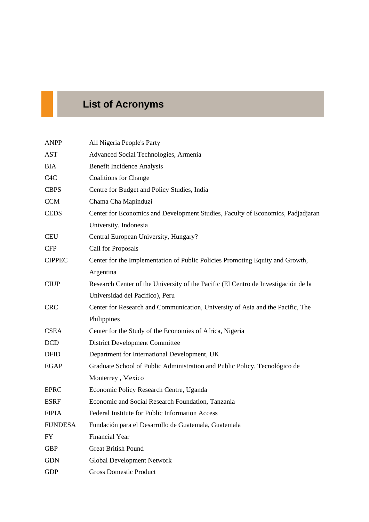# **List of Acronyms**

| <b>ANPP</b>      | All Nigeria People's Party                                                         |
|------------------|------------------------------------------------------------------------------------|
| <b>AST</b>       | Advanced Social Technologies, Armenia                                              |
| <b>BIA</b>       | <b>Benefit Incidence Analysis</b>                                                  |
| C <sub>4</sub> C | <b>Coalitions for Change</b>                                                       |
| <b>CBPS</b>      | Centre for Budget and Policy Studies, India                                        |
| <b>CCM</b>       | Chama Cha Mapinduzi                                                                |
| <b>CEDS</b>      | Center for Economics and Development Studies, Faculty of Economics, Padjadjaran    |
|                  | University, Indonesia                                                              |
| <b>CEU</b>       | Central European University, Hungary?                                              |
| <b>CFP</b>       | Call for Proposals                                                                 |
| <b>CIPPEC</b>    | Center for the Implementation of Public Policies Promoting Equity and Growth,      |
|                  | Argentina                                                                          |
| <b>CIUP</b>      | Research Center of the University of the Pacific (El Centro de Investigación de la |
|                  | Universidad del Pacífico), Peru                                                    |
| <b>CRC</b>       | Center for Research and Communication, University of Asia and the Pacific, The     |
|                  | Philippines                                                                        |
| <b>CSEA</b>      | Center for the Study of the Economies of Africa, Nigeria                           |
| <b>DCD</b>       | <b>District Development Committee</b>                                              |
| <b>DFID</b>      | Department for International Development, UK                                       |
| <b>EGAP</b>      | Graduate School of Public Administration and Public Policy, Tecnológico de         |
|                  | Monterrey, Mexico                                                                  |
| <b>EPRC</b>      | Economic Policy Research Centre, Uganda                                            |
| <b>ESRF</b>      | Economic and Social Research Foundation, Tanzania                                  |
| <b>FIPIA</b>     | Federal Institute for Public Information Access                                    |
| <b>FUNDESA</b>   | Fundación para el Desarrollo de Guatemala, Guatemala                               |
| <b>FY</b>        | <b>Financial Year</b>                                                              |
| <b>GBP</b>       | <b>Great British Pound</b>                                                         |
| <b>GDN</b>       | Global Development Network                                                         |
| <b>GDP</b>       | <b>Gross Domestic Product</b>                                                      |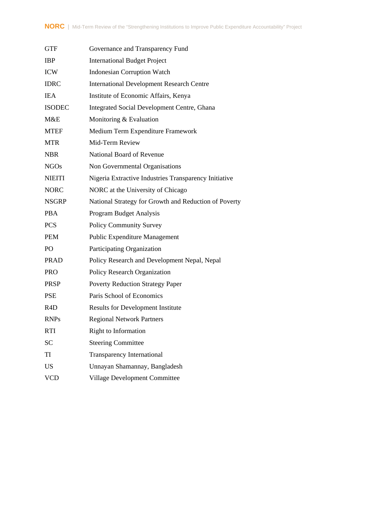| <b>GTF</b>       | Governance and Transparency Fund                      |
|------------------|-------------------------------------------------------|
| <b>IBP</b>       | <b>International Budget Project</b>                   |
| <b>ICW</b>       | <b>Indonesian Corruption Watch</b>                    |
| <b>IDRC</b>      | <b>International Development Research Centre</b>      |
| <b>IEA</b>       | Institute of Economic Affairs, Kenya                  |
| <b>ISODEC</b>    | Integrated Social Development Centre, Ghana           |
| M&E              | Monitoring & Evaluation                               |
| <b>MTEF</b>      | Medium Term Expenditure Framework                     |
| <b>MTR</b>       | Mid-Term Review                                       |
| <b>NBR</b>       | National Board of Revenue                             |
| <b>NGOs</b>      | Non Governmental Organisations                        |
| <b>NIEITI</b>    | Nigeria Extractive Industries Transparency Initiative |
| <b>NORC</b>      | NORC at the University of Chicago                     |
| <b>NSGRP</b>     | National Strategy for Growth and Reduction of Poverty |
| <b>PBA</b>       | Program Budget Analysis                               |
| <b>PCS</b>       | <b>Policy Community Survey</b>                        |
| <b>PEM</b>       | Public Expenditure Management                         |
| PO               | Participating Organization                            |
| <b>PRAD</b>      | Policy Research and Development Nepal, Nepal          |
| <b>PRO</b>       | Policy Research Organization                          |
| <b>PRSP</b>      | <b>Poverty Reduction Strategy Paper</b>               |
| <b>PSE</b>       | Paris School of Economics                             |
| R <sub>4</sub> D | <b>Results for Development Institute</b>              |
| <b>RNPs</b>      | <b>Regional Network Partners</b>                      |
| <b>RTI</b>       | Right to Information                                  |
| <b>SC</b>        | <b>Steering Committee</b>                             |
| TI               | <b>Transparency International</b>                     |
| <b>US</b>        | Unnayan Shamannay, Bangladesh                         |
| <b>VCD</b>       | Village Development Committee                         |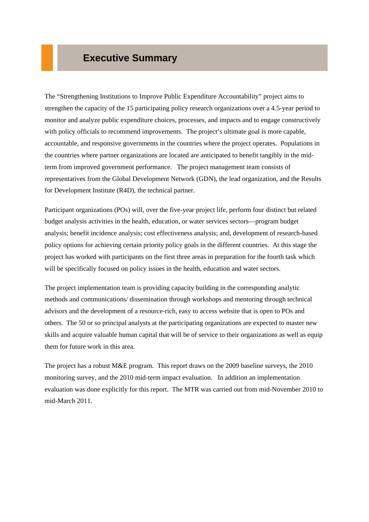# **Executive Summary**

The "Strengthening Institutions to Improve Public Expenditure Accountability" project aims to strengthen the capacity of the 15 participating policy research organizations over a 4.5-year period to monitor and analyze public expenditure choices, processes, and impacts and to engage constructively with policy officials to recommend improvements. The project's ultimate goal is more capable, accountable, and responsive governments in the countries where the project operates. Populations in the countries where partner organizations are located are anticipated to benefit tangibly in the midterm from improved government performance. The project management team consists of representatives from the Global Development Network (GDN), the lead organization, and the Results for Development Institute (R4D), the technical partner.

Participant organizations (POs) will, over the five-year project life, perform four distinct but related budget analysis activities in the health, education, or water services sectors—program budget analysis; benefit incidence analysis; cost effectiveness analysis; and, development of research-based policy options for achieving certain priority policy goals in the different countries. At this stage the project has worked with participants on the first three areas in preparation for the fourth task which will be specifically focused on policy issues in the health, education and water sectors.

The project implementation team is providing capacity building in the corresponding analytic methods and communications/ dissemination through workshops and mentoring through technical advisors and the development of a resource-rich, easy to access website that is open to POs and others. The 50 or so principal analysts at the participating organizations are expected to master new skills and acquire valuable human capital that will be of service to their organizations as well as equip them for future work in this area.

The project has a robust M&E program. This report draws on the 2009 baseline surveys, the 2010 monitoring survey, and the 2010 mid-term impact evaluation. In addition an implementation evaluation was done explicitly for this report. The MTR was carried out from mid-November 2010 to mid-March 2011.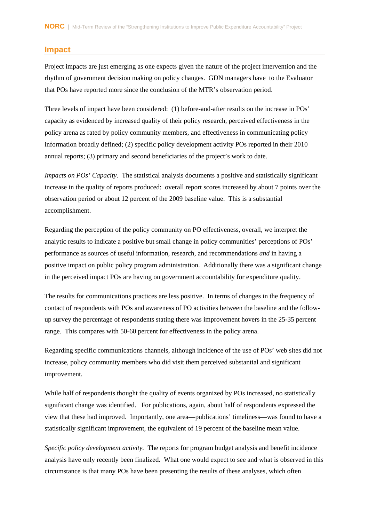### **Impact**

Project impacts are just emerging as one expects given the nature of the project intervention and the rhythm of government decision making on policy changes. GDN managers have to the Evaluator that POs have reported more since the conclusion of the MTR's observation period.

Three levels of impact have been considered: (1) before-and-after results on the increase in POs' capacity as evidenced by increased quality of their policy research, perceived effectiveness in the policy arena as rated by policy community members, and effectiveness in communicating policy information broadly defined; (2) specific policy development activity POs reported in their 2010 annual reports; (3) primary and second beneficiaries of the project's work to date.

*Impacts on POs' Capacity.* The statistical analysis documents a positive and statistically significant increase in the quality of reports produced: overall report scores increased by about 7 points over the observation period or about 12 percent of the 2009 baseline value. This is a substantial accomplishment.

Regarding the perception of the policy community on PO effectiveness, overall, we interpret the analytic results to indicate a positive but small change in policy communities' perceptions of POs' performance as sources of useful information, research, and recommendations *and* in having a positive impact on public policy program administration. Additionally there was a significant change in the perceived impact POs are having on government accountability for expenditure quality.

The results for communications practices are less positive. In terms of changes in the frequency of contact of respondents with POs and awareness of PO activities between the baseline and the followup survey the percentage of respondents stating there was improvement hovers in the 25-35 percent range. This compares with 50-60 percent for effectiveness in the policy arena.

Regarding specific communications channels, although incidence of the use of POs' web sites did not increase, policy community members who did visit them perceived substantial and significant improvement.

While half of respondents thought the quality of events organized by POs increased, no statistically significant change was identified. For publications, again, about half of respondents expressed the view that these had improved. Importantly, one area—publications' timeliness—was found to have a statistically significant improvement, the equivalent of 19 percent of the baseline mean value.

*Specific policy development activity.* The reports for program budget analysis and benefit incidence analysis have only recently been finalized. What one would expect to see and what is observed in this circumstance is that many POs have been presenting the results of these analyses, which often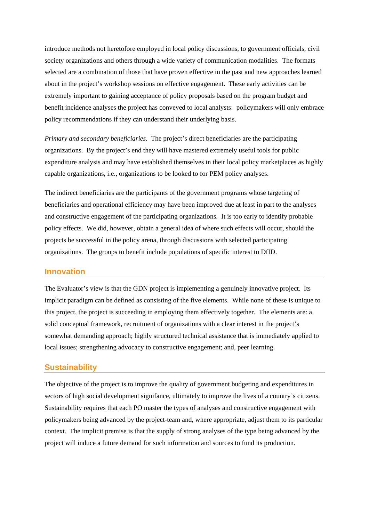introduce methods not heretofore employed in local policy discussions, to government officials, civil society organizations and others through a wide variety of communication modalities. The formats selected are a combination of those that have proven effective in the past and new approaches learned about in the project's workshop sessions on effective engagement. These early activities can be extremely important to gaining acceptance of policy proposals based on the program budget and benefit incidence analyses the project has conveyed to local analysts: policymakers will only embrace policy recommendations if they can understand their underlying basis.

*Primary and secondary beneficiaries.* The project's direct beneficiaries are the participating organizations. By the project's end they will have mastered extremely useful tools for public expenditure analysis and may have established themselves in their local policy marketplaces as highly capable organizations, i.e., organizations to be looked to for PEM policy analyses.

The indirect beneficiaries are the participants of the government programs whose targeting of beneficiaries and operational efficiency may have been improved due at least in part to the analyses and constructive engagement of the participating organizations. It is too early to identify probable policy effects. We did, however, obtain a general idea of where such effects will occur, should the projects be successful in the policy arena, through discussions with selected participating organizations. The groups to benefit include populations of specific interest to DfID.

### **Innovation**

The Evaluator's view is that the GDN project is implementing a genuinely innovative project. Its implicit paradigm can be defined as consisting of the five elements. While none of these is unique to this project, the project is succeeding in employing them effectively together. The elements are: a solid conceptual framework, recruitment of organizations with a clear interest in the project's somewhat demanding approach; highly structured technical assistance that is immediately applied to local issues; strengthening advocacy to constructive engagement; and, peer learning.

#### **Sustainability**

The objective of the project is to improve the quality of government budgeting and expenditures in sectors of high social development signifance, ultimately to improve the lives of a country's citizens. Sustainability requires that each PO master the types of analyses and constructive engagement with policymakers being advanced by the project-team and, where appropriate, adjust them to its particular context. The implicit premise is that the supply of strong analyses of the type being advanced by the project will induce a future demand for such information and sources to fund its production.